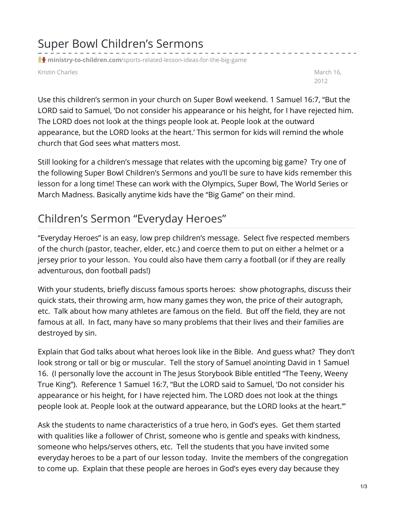## Super Bowl Children's Sermons

**t** ministry-to-children.com[/sports-related-lesson-ideas-for-the-big-game](https://ministry-to-children.com/sports-related-lesson-ideas-for-the-big-game/)

Kristin Charles March 16, North 16, North 16, North 16, North 16, North 16, North 16, North 16, North 16, North 16, North 16, North 16, North 16, North 16, North 16, North 16, North 16, North 16, North 16, North 16, North

2012

Use this children's sermon in your church on Super Bowl weekend. 1 Samuel 16:7, "But the LORD said to Samuel, 'Do not consider his appearance or his height, for I have rejected him. The LORD does not look at the things people look at. People look at the outward appearance, but the LORD looks at the heart.' This sermon for kids will remind the whole church that God sees what matters most.

Still looking for a children's message that relates with the upcoming big game? Try one of the following Super Bowl Children's Sermons and you'll be sure to have kids remember this lesson for a long time! These can work with the Olympics, Super Bowl, The World Series or March Madness. Basically anytime kids have the "Big Game" on their mind.

## Children's Sermon "Everyday Heroes"

"Everyday Heroes" is an easy, low prep children's message. Select five respected members of the church (pastor, teacher, elder, etc.) and coerce them to put on either a helmet or a jersey prior to your lesson. You could also have them carry a football (or if they are really adventurous, don football pads!)

With your students, briefly discuss famous sports heroes: show photographs, discuss their quick stats, their throwing arm, how many games they won, the price of their autograph, etc. Talk about how many athletes are famous on the field. But off the field, they are not famous at all. In fact, many have so many problems that their lives and their families are destroyed by sin.

Explain that God talks about what heroes look like in the Bible. And guess what? They don't look strong or tall or big or muscular. Tell the story of Samuel anointing David in 1 Samuel 16. (I personally love the account in The Jesus Storybook Bible entitled "The Teeny, Weeny True King"). Reference 1 Samuel 16:7, "But the LORD said to Samuel, 'Do not consider his appearance or his height, for I have rejected him. The LORD does not look at the things people look at. People look at the outward appearance, but the LORD looks at the heart.'"

Ask the students to name characteristics of a true hero, in God's eyes. Get them started with qualities like a follower of Christ, someone who is gentle and speaks with kindness, someone who helps/serves others, etc. Tell the students that you have invited some everyday heroes to be a part of our lesson today. Invite the members of the congregation to come up. Explain that these people are heroes in God's eyes every day because they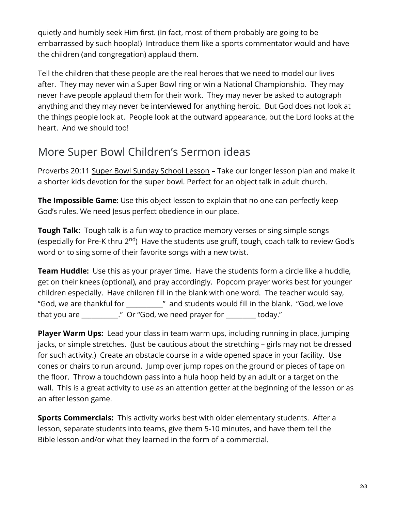quietly and humbly seek Him first. (In fact, most of them probably are going to be embarrassed by such hoopla!) Introduce them like a sports commentator would and have the children (and congregation) applaud them.

Tell the children that these people are the real heroes that we need to model our lives after. They may never win a Super Bowl ring or win a National Championship. They may never have people applaud them for their work. They may never be asked to autograph anything and they may never be interviewed for anything heroic. But God does not look at the things people look at. People look at the outward appearance, but the Lord looks at the heart. And we should too!

## More Super Bowl Children's Sermon ideas

Proverbs 20:11 Super Bowl [Sunday](https://ministry-to-children.com/super-bowl-kids-message/) School Lesson – Take our longer lesson plan and make it a shorter kids devotion for the super bowl. Perfect for an object talk in adult church.

**The Impossible Game**: Use this object lesson to explain that no one can perfectly keep God's rules. We need Jesus perfect obedience in our place.

**Tough Talk:** Tough talk is a fun way to practice memory verses or sing simple songs (especially for Pre-K thru 2<sup>nd</sup>) Have the students use gruff, tough, coach talk to review God's word or to sing some of their favorite songs with a new twist.

**Team Huddle:** Use this as your prayer time. Have the students form a circle like a huddle, get on their knees (optional), and pray accordingly. Popcorn prayer works best for younger children especially. Have children fill in the blank with one word. The teacher would say, "God, we are thankful for \_\_\_\_\_\_\_\_\_\_\_" and students would fill in the blank. "God, we love that you are \_\_\_\_\_\_\_\_\_\_\_." Or "God, we need prayer for \_\_\_\_\_\_\_\_\_ today."

**Player Warm Ups:** Lead your class in team warm ups, including running in place, jumping jacks, or simple stretches. (Just be cautious about the stretching – girls may not be dressed for such activity.) Create an obstacle course in a wide opened space in your facility. Use cones or chairs to run around. Jump over jump ropes on the ground or pieces of tape on the floor. Throw a touchdown pass into a hula hoop held by an adult or a target on the wall. This is a great activity to use as an attention getter at the beginning of the lesson or as an after lesson game.

**Sports Commercials:** This activity works best with older elementary students. After a lesson, separate students into teams, give them 5-10 minutes, and have them tell the Bible lesson and/or what they learned in the form of a commercial.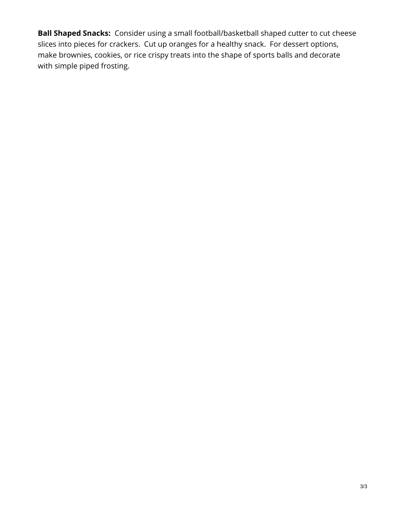**Ball Shaped Snacks:** Consider using a small football/basketball shaped cutter to cut cheese slices into pieces for crackers. Cut up oranges for a healthy snack. For dessert options, make brownies, cookies, or rice crispy treats into the shape of sports balls and decorate with simple piped frosting.